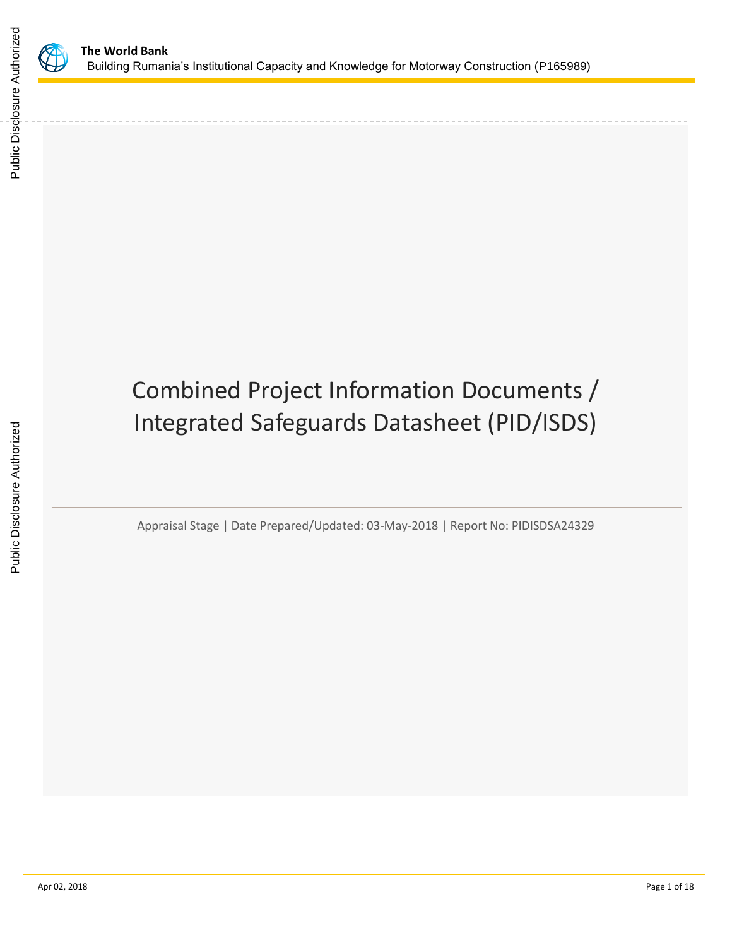

Public Disclosure Authorized

Public Disclosure Authorized

# Combined Project Information Documents / Integrated Safeguards Datasheet (PID/ISDS)

Appraisal Stage | Date Prepared/Updated: 03-May-2018 | Report No: PIDISDSA24329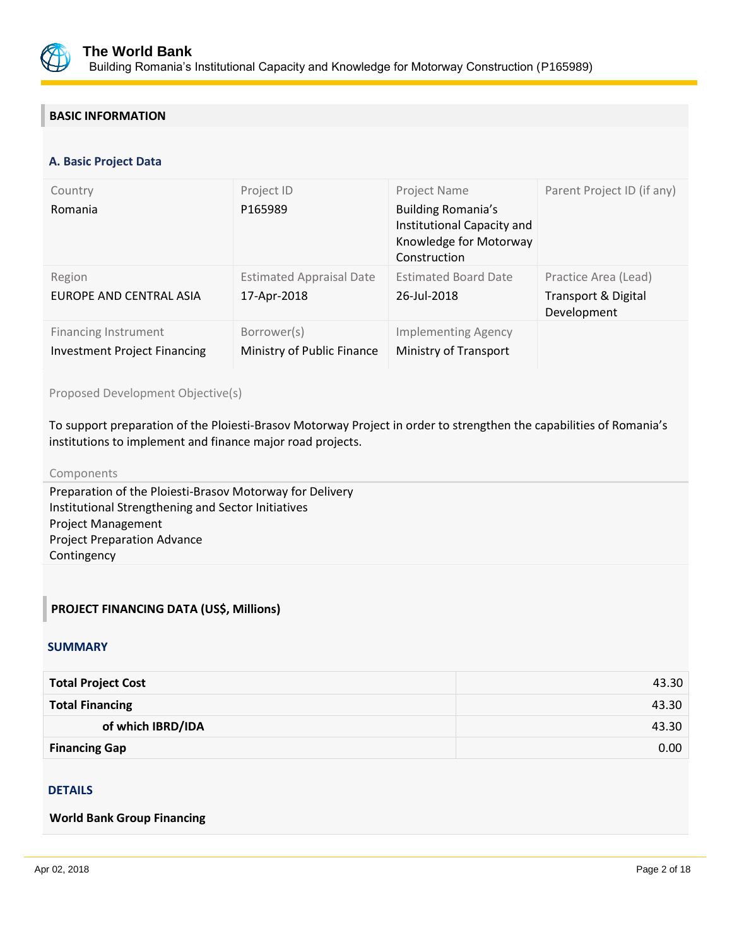

## **BASIC INFORMATION**

#### **OPS\_TABLE\_BASIC\_DATA A. Basic Project Data**

| Country<br>Romania                                                 | Project ID<br>P165989                          | Project Name<br><b>Building Romania's</b><br>Institutional Capacity and<br>Knowledge for Motorway<br>Construction | Parent Project ID (if any)                                            |
|--------------------------------------------------------------------|------------------------------------------------|-------------------------------------------------------------------------------------------------------------------|-----------------------------------------------------------------------|
| Region<br>EUROPE AND CENTRAL ASIA                                  | <b>Estimated Appraisal Date</b><br>17-Apr-2018 | <b>Estimated Board Date</b><br>26-Jul-2018                                                                        | Practice Area (Lead)<br><b>Transport &amp; Digital</b><br>Development |
| <b>Financing Instrument</b><br><b>Investment Project Financing</b> | Borrower(s)<br>Ministry of Public Finance      | <b>Implementing Agency</b><br>Ministry of Transport                                                               |                                                                       |

Proposed Development Objective(s)

To support preparation of the Ploiesti-Brasov Motorway Project in order to strengthen the capabilities of Romania's institutions to implement and finance major road projects.

#### Components

Preparation of the Ploiesti-Brasov Motorway for Delivery Institutional Strengthening and Sector Initiatives Project Management Project Preparation Advance Contingency

## **PROJECT FINANCING DATA (US\$, Millions)**

#### **SUMMARY**

| <b>Total Project Cost</b> | 43.30 |
|---------------------------|-------|
| <b>Total Financing</b>    | 43.30 |
| of which IBRD/IDA         | 43.30 |
| <b>Financing Gap</b>      | 0.00  |

## **DETAILS**

#### **World Bank Group Financing**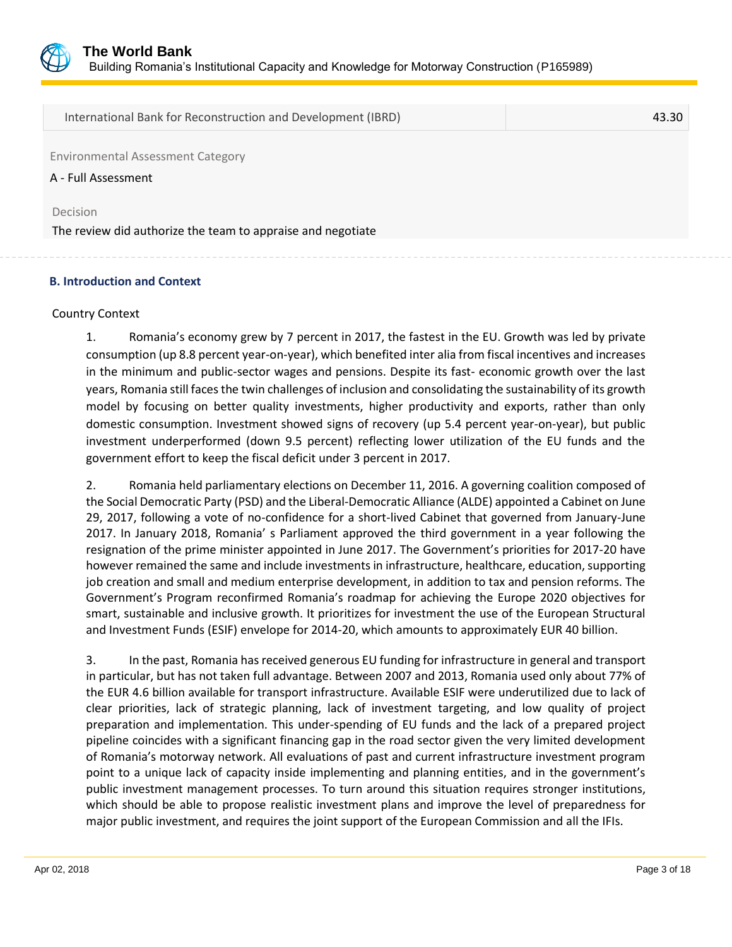

International Bank for Reconstruction and Development (IBRD) 43.30

Environmental Assessment Category

A - Full Assessment

Decision

The review did authorize the team to appraise and negotiate

#### **B. Introduction and Context**

#### Country Context

1. Romania's economy grew by 7 percent in 2017, the fastest in the EU. Growth was led by private consumption (up 8.8 percent year-on-year), which benefited inter alia from fiscal incentives and increases in the minimum and public-sector wages and pensions. Despite its fast- economic growth over the last years, Romania still faces the twin challenges of inclusion and consolidating the sustainability of its growth model by focusing on better quality investments, higher productivity and exports, rather than only domestic consumption. Investment showed signs of recovery (up 5.4 percent year-on-year), but public investment underperformed (down 9.5 percent) reflecting lower utilization of the EU funds and the government effort to keep the fiscal deficit under 3 percent in 2017.

2. Romania held parliamentary elections on December 11, 2016. A governing coalition composed of the Social Democratic Party (PSD) and the Liberal-Democratic Alliance (ALDE) appointed a Cabinet on June 29, 2017, following a vote of no-confidence for a short-lived Cabinet that governed from January-June 2017. In January 2018, Romania' s Parliament approved the third government in a year following the resignation of the prime minister appointed in June 2017. The Government's priorities for 2017-20 have however remained the same and include investments in infrastructure, healthcare, education, supporting job creation and small and medium enterprise development, in addition to tax and pension reforms. The Government's Program reconfirmed Romania's roadmap for achieving the Europe 2020 objectives for smart, sustainable and inclusive growth. It prioritizes for investment the use of the European Structural and Investment Funds (ESIF) envelope for 2014-20, which amounts to approximately EUR 40 billion.

3. In the past, Romania has received generous EU funding for infrastructure in general and transport in particular, but has not taken full advantage. Between 2007 and 2013, Romania used only about 77% of the EUR 4.6 billion available for transport infrastructure. Available ESIF were underutilized due to lack of clear priorities, lack of strategic planning, lack of investment targeting, and low quality of project preparation and implementation. This under-spending of EU funds and the lack of a prepared project pipeline coincides with a significant financing gap in the road sector given the very limited development of Romania's motorway network. All evaluations of past and current infrastructure investment program point to a unique lack of capacity inside implementing and planning entities, and in the government's public investment management processes. To turn around this situation requires stronger institutions, which should be able to propose realistic investment plans and improve the level of preparedness for major public investment, and requires the joint support of the European Commission and all the IFIs.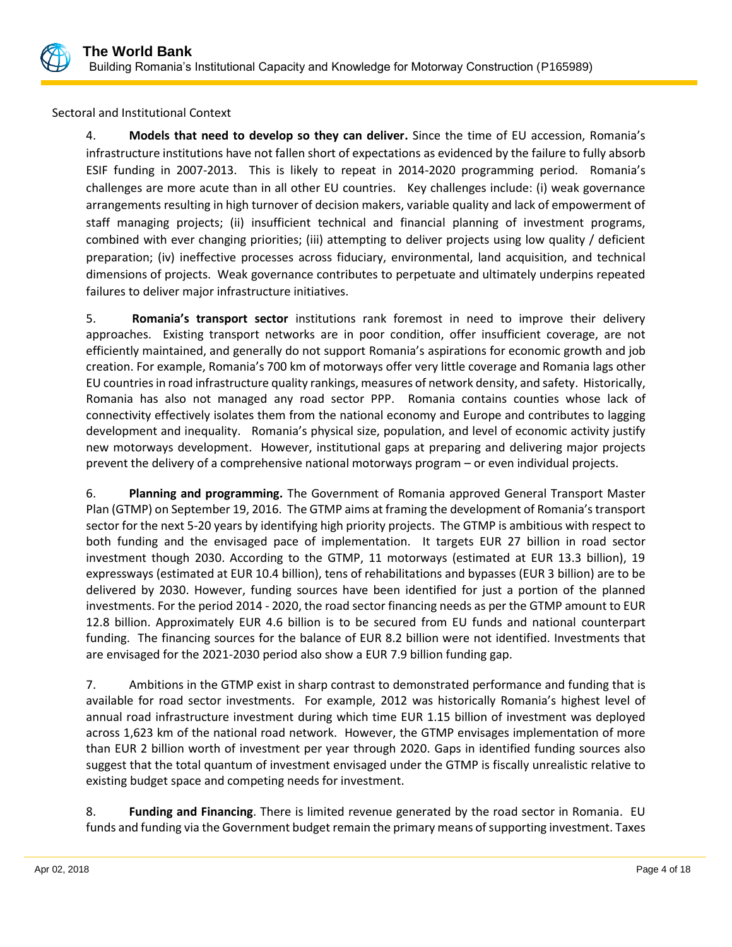

Sectoral and Institutional Context

4. **Models that need to develop so they can deliver.** Since the time of EU accession, Romania's infrastructure institutions have not fallen short of expectations as evidenced by the failure to fully absorb ESIF funding in 2007-2013. This is likely to repeat in 2014-2020 programming period. Romania's challenges are more acute than in all other EU countries. Key challenges include: (i) weak governance arrangements resulting in high turnover of decision makers, variable quality and lack of empowerment of staff managing projects; (ii) insufficient technical and financial planning of investment programs, combined with ever changing priorities; (iii) attempting to deliver projects using low quality / deficient preparation; (iv) ineffective processes across fiduciary, environmental, land acquisition, and technical dimensions of projects. Weak governance contributes to perpetuate and ultimately underpins repeated failures to deliver major infrastructure initiatives.

5. **Romania's transport sector** institutions rank foremost in need to improve their delivery approaches. Existing transport networks are in poor condition, offer insufficient coverage, are not efficiently maintained, and generally do not support Romania's aspirations for economic growth and job creation. For example, Romania's 700 km of motorways offer very little coverage and Romania lags other EU countries in road infrastructure quality rankings, measures of network density, and safety. Historically, Romania has also not managed any road sector PPP. Romania contains counties whose lack of connectivity effectively isolates them from the national economy and Europe and contributes to lagging development and inequality. Romania's physical size, population, and level of economic activity justify new motorways development. However, institutional gaps at preparing and delivering major projects prevent the delivery of a comprehensive national motorways program – or even individual projects.

6. **Planning and programming.** The Government of Romania approved General Transport Master Plan (GTMP) on September 19, 2016. The GTMP aims at framing the development of Romania's transport sector for the next 5-20 years by identifying high priority projects. The GTMP is ambitious with respect to both funding and the envisaged pace of implementation. It targets EUR 27 billion in road sector investment though 2030. According to the GTMP, 11 motorways (estimated at EUR 13.3 billion), 19 expressways (estimated at EUR 10.4 billion), tens of rehabilitations and bypasses (EUR 3 billion) are to be delivered by 2030. However, funding sources have been identified for just a portion of the planned investments. For the period 2014 - 2020, the road sector financing needs as per the GTMP amount to EUR 12.8 billion. Approximately EUR 4.6 billion is to be secured from EU funds and national counterpart funding. The financing sources for the balance of EUR 8.2 billion were not identified. Investments that are envisaged for the 2021-2030 period also show a EUR 7.9 billion funding gap.

7. Ambitions in the GTMP exist in sharp contrast to demonstrated performance and funding that is available for road sector investments. For example, 2012 was historically Romania's highest level of annual road infrastructure investment during which time EUR 1.15 billion of investment was deployed across 1,623 km of the national road network. However, the GTMP envisages implementation of more than EUR 2 billion worth of investment per year through 2020. Gaps in identified funding sources also suggest that the total quantum of investment envisaged under the GTMP is fiscally unrealistic relative to existing budget space and competing needs for investment.

8. **Funding and Financing**. There is limited revenue generated by the road sector in Romania. EU funds and funding via the Government budget remain the primary means of supporting investment. Taxes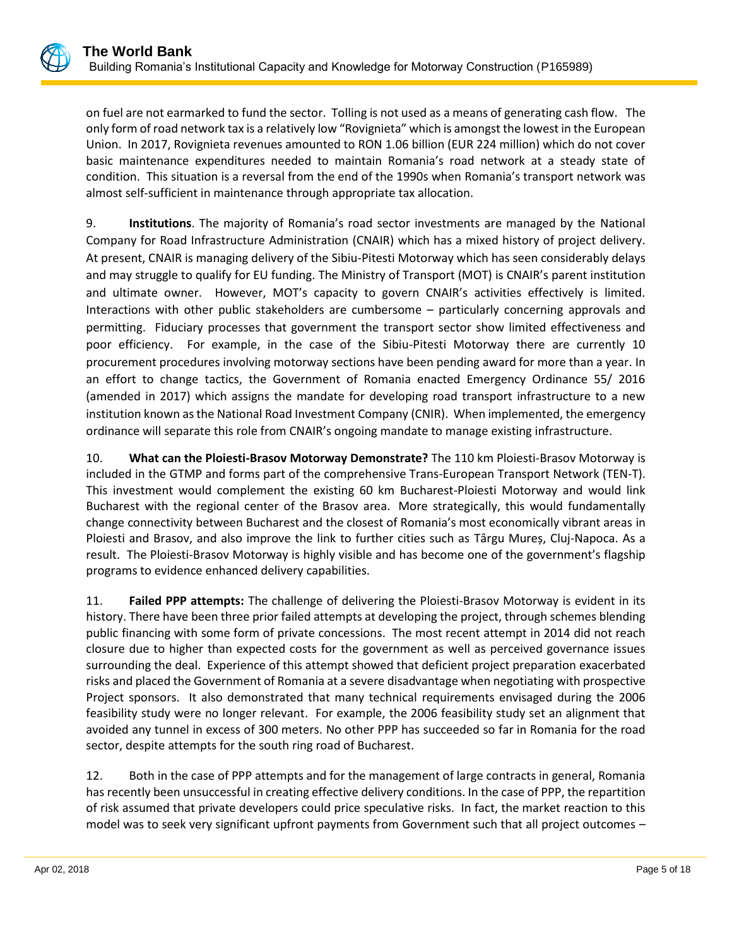on fuel are not earmarked to fund the sector. Tolling is not used as a means of generating cash flow. The only form of road network tax is a relatively low "Rovignieta" which is amongst the lowest in the European Union. In 2017, Rovignieta revenues amounted to RON 1.06 billion (EUR 224 million) which do not cover basic maintenance expenditures needed to maintain Romania's road network at a steady state of condition. This situation is a reversal from the end of the 1990s when Romania's transport network was almost self-sufficient in maintenance through appropriate tax allocation.

9. **Institutions**. The majority of Romania's road sector investments are managed by the National Company for Road Infrastructure Administration (CNAIR) which has a mixed history of project delivery. At present, CNAIR is managing delivery of the Sibiu-Pitesti Motorway which has seen considerably delays and may struggle to qualify for EU funding. The Ministry of Transport (MOT) is CNAIR's parent institution and ultimate owner. However, MOT's capacity to govern CNAIR's activities effectively is limited. Interactions with other public stakeholders are cumbersome – particularly concerning approvals and permitting. Fiduciary processes that government the transport sector show limited effectiveness and poor efficiency. For example, in the case of the Sibiu-Pitesti Motorway there are currently 10 procurement procedures involving motorway sections have been pending award for more than a year. In an effort to change tactics, the Government of Romania enacted Emergency Ordinance 55/ 2016 (amended in 2017) which assigns the mandate for developing road transport infrastructure to a new institution known as the National Road Investment Company (CNIR). When implemented, the emergency ordinance will separate this role from CNAIR's ongoing mandate to manage existing infrastructure.

10. **What can the Ploiesti-Brasov Motorway Demonstrate?** The 110 km Ploiesti-Brasov Motorway is included in the GTMP and forms part of the comprehensive Trans-European Transport Network (TEN-T). This investment would complement the existing 60 km Bucharest-Ploiesti Motorway and would link Bucharest with the regional center of the Brasov area. More strategically, this would fundamentally change connectivity between Bucharest and the closest of Romania's most economically vibrant areas in Ploiesti and Brasov, and also improve the link to further cities such as Târgu Mureș, Cluj-Napoca. As a result. The Ploiesti-Brasov Motorway is highly visible and has become one of the government's flagship programs to evidence enhanced delivery capabilities.

11. **Failed PPP attempts:** The challenge of delivering the Ploiesti-Brasov Motorway is evident in its history. There have been three prior failed attempts at developing the project, through schemes blending public financing with some form of private concessions. The most recent attempt in 2014 did not reach closure due to higher than expected costs for the government as well as perceived governance issues surrounding the deal. Experience of this attempt showed that deficient project preparation exacerbated risks and placed the Government of Romania at a severe disadvantage when negotiating with prospective Project sponsors. It also demonstrated that many technical requirements envisaged during the 2006 feasibility study were no longer relevant. For example, the 2006 feasibility study set an alignment that avoided any tunnel in excess of 300 meters. No other PPP has succeeded so far in Romania for the road sector, despite attempts for the south ring road of Bucharest.

12. Both in the case of PPP attempts and for the management of large contracts in general, Romania has recently been unsuccessful in creating effective delivery conditions. In the case of PPP, the repartition of risk assumed that private developers could price speculative risks. In fact, the market reaction to this model was to seek very significant upfront payments from Government such that all project outcomes –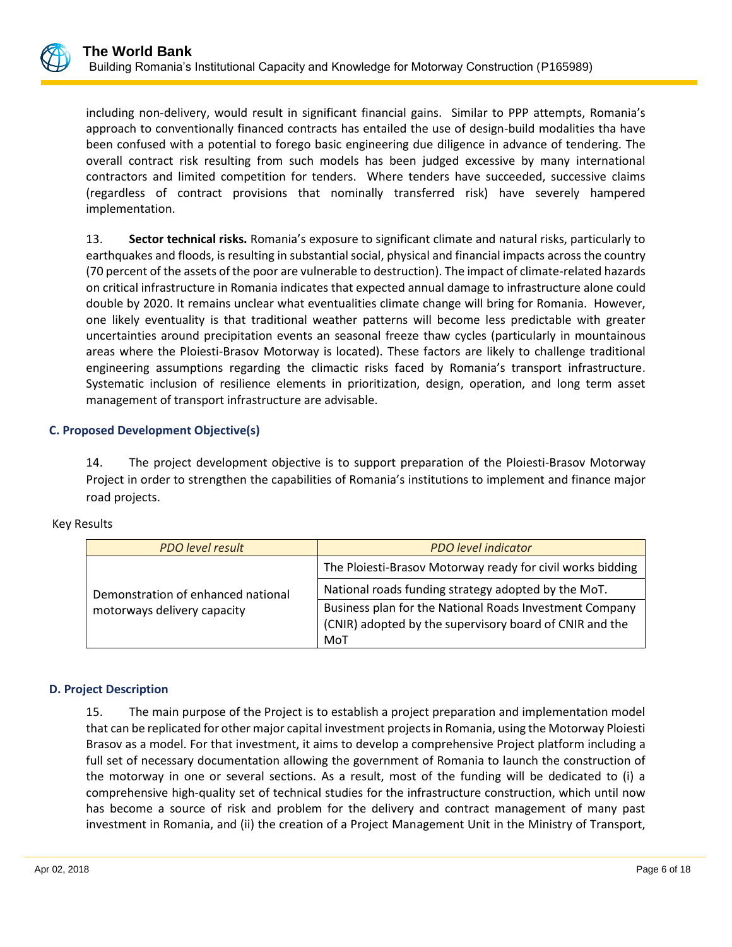

including non-delivery, would result in significant financial gains. Similar to PPP attempts, Romania's approach to conventionally financed contracts has entailed the use of design-build modalities tha have been confused with a potential to forego basic engineering due diligence in advance of tendering. The overall contract risk resulting from such models has been judged excessive by many international contractors and limited competition for tenders. Where tenders have succeeded, successive claims (regardless of contract provisions that nominally transferred risk) have severely hampered implementation.

13. **Sector technical risks.** Romania's exposure to significant climate and natural risks, particularly to earthquakes and floods, is resulting in substantial social, physical and financial impacts across the country (70 percent of the assets of the poor are vulnerable to destruction). The impact of climate-related hazards on critical infrastructure in Romania indicates that expected annual damage to infrastructure alone could double by 2020. It remains unclear what eventualities climate change will bring for Romania. However, one likely eventuality is that traditional weather patterns will become less predictable with greater uncertainties around precipitation events an seasonal freeze thaw cycles (particularly in mountainous areas where the Ploiesti-Brasov Motorway is located). These factors are likely to challenge traditional engineering assumptions regarding the climactic risks faced by Romania's transport infrastructure. Systematic inclusion of resilience elements in prioritization, design, operation, and long term asset management of transport infrastructure are advisable.

## **C. Proposed Development Objective(s)**

14. The project development objective is to support preparation of the Ploiesti-Brasov Motorway Project in order to strengthen the capabilities of Romania's institutions to implement and finance major road projects.

| <b>Key Results</b> |
|--------------------|
|--------------------|

| <b>PDO level result</b>            | <b>PDO</b> level indicator                                                                                                |  |
|------------------------------------|---------------------------------------------------------------------------------------------------------------------------|--|
| Demonstration of enhanced national | The Ploiesti-Brasov Motorway ready for civil works bidding                                                                |  |
|                                    | National roads funding strategy adopted by the MoT.                                                                       |  |
| motorways delivery capacity        | Business plan for the National Roads Investment Company<br>(CNIR) adopted by the supervisory board of CNIR and the<br>MoT |  |

## **D. Project Description**

15. The main purpose of the Project is to establish a project preparation and implementation model that can be replicated for other major capital investment projects in Romania, using the Motorway Ploiesti Brasov as a model. For that investment, it aims to develop a comprehensive Project platform including a full set of necessary documentation allowing the government of Romania to launch the construction of the motorway in one or several sections. As a result, most of the funding will be dedicated to (i) a comprehensive high-quality set of technical studies for the infrastructure construction, which until now has become a source of risk and problem for the delivery and contract management of many past investment in Romania, and (ii) the creation of a Project Management Unit in the Ministry of Transport,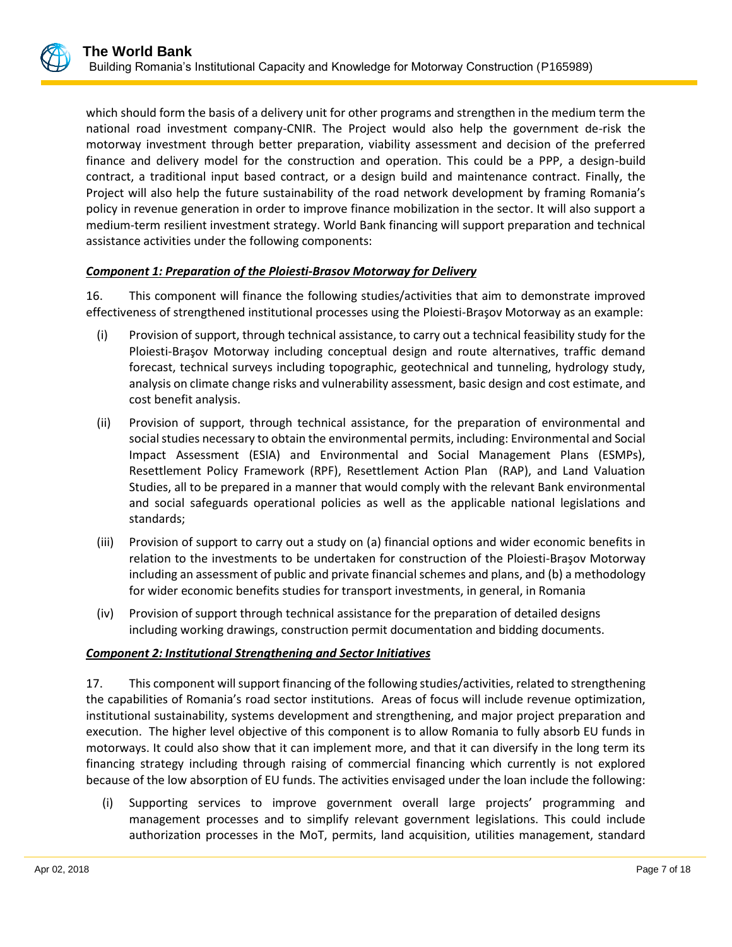which should form the basis of a delivery unit for other programs and strengthen in the medium term the national road investment company-CNIR. The Project would also help the government de-risk the motorway investment through better preparation, viability assessment and decision of the preferred finance and delivery model for the construction and operation. This could be a PPP, a design-build contract, a traditional input based contract, or a design build and maintenance contract. Finally, the Project will also help the future sustainability of the road network development by framing Romania's policy in revenue generation in order to improve finance mobilization in the sector. It will also support a medium-term resilient investment strategy. World Bank financing will support preparation and technical assistance activities under the following components:

## *Component 1: Preparation of the Ploiesti-Brasov Motorway for Delivery*

16. This component will finance the following studies/activities that aim to demonstrate improved effectiveness of strengthened institutional processes using the Ploiesti-Braşov Motorway as an example:

- (i) Provision of support, through technical assistance, to carry out a technical feasibility study for the Ploiesti-Braşov Motorway including conceptual design and route alternatives, traffic demand forecast, technical surveys including topographic, geotechnical and tunneling, hydrology study, analysis on climate change risks and vulnerability assessment, basic design and cost estimate, and cost benefit analysis.
- (ii) Provision of support, through technical assistance, for the preparation of environmental and social studies necessary to obtain the environmental permits, including: Environmental and Social Impact Assessment (ESIA) and Environmental and Social Management Plans (ESMPs), Resettlement Policy Framework (RPF), Resettlement Action Plan (RAP), and Land Valuation Studies, all to be prepared in a manner that would comply with the relevant Bank environmental and social safeguards operational policies as well as the applicable national legislations and standards;
- (iii) Provision of support to carry out a study on (a) financial options and wider economic benefits in relation to the investments to be undertaken for construction of the Ploiesti-Braşov Motorway including an assessment of public and private financial schemes and plans, and (b) a methodology for wider economic benefits studies for transport investments, in general, in Romania
- (iv) Provision of support through technical assistance for the preparation of detailed designs including working drawings, construction permit documentation and bidding documents.

#### *Component 2: Institutional Strengthening and Sector Initiatives*

17. This component will support financing of the following studies/activities, related to strengthening the capabilities of Romania's road sector institutions. Areas of focus will include revenue optimization, institutional sustainability, systems development and strengthening, and major project preparation and execution. The higher level objective of this component is to allow Romania to fully absorb EU funds in motorways. It could also show that it can implement more, and that it can diversify in the long term its financing strategy including through raising of commercial financing which currently is not explored because of the low absorption of EU funds. The activities envisaged under the loan include the following:

(i) Supporting services to improve government overall large projects' programming and management processes and to simplify relevant government legislations. This could include authorization processes in the MoT, permits, land acquisition, utilities management, standard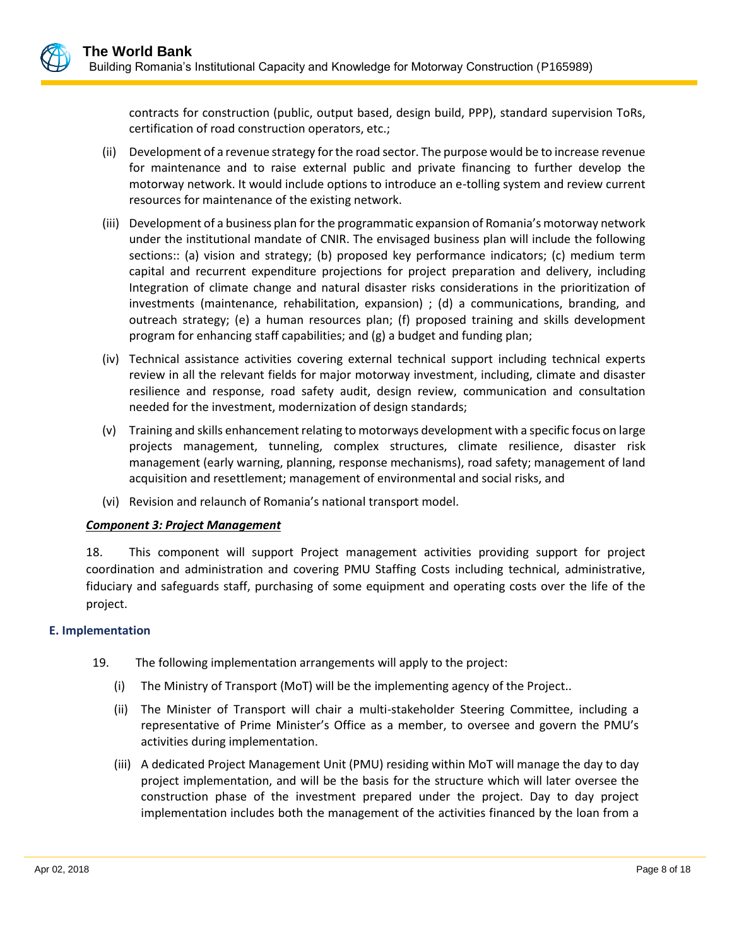contracts for construction (public, output based, design build, PPP), standard supervision ToRs, certification of road construction operators, etc.;

- (ii) Development of a revenue strategy for the road sector. The purpose would be to increase revenue for maintenance and to raise external public and private financing to further develop the motorway network. It would include options to introduce an e-tolling system and review current resources for maintenance of the existing network.
- (iii) Development of a business plan for the programmatic expansion of Romania's motorway network under the institutional mandate of CNIR. The envisaged business plan will include the following sections:: (a) vision and strategy; (b) proposed key performance indicators; (c) medium term capital and recurrent expenditure projections for project preparation and delivery, including Integration of climate change and natural disaster risks considerations in the prioritization of investments (maintenance, rehabilitation, expansion) ; (d) a communications, branding, and outreach strategy; (e) a human resources plan; (f) proposed training and skills development program for enhancing staff capabilities; and (g) a budget and funding plan;
- (iv) Technical assistance activities covering external technical support including technical experts review in all the relevant fields for major motorway investment, including, climate and disaster resilience and response, road safety audit, design review, communication and consultation needed for the investment, modernization of design standards;
- (v) Training and skills enhancement relating to motorways development with a specific focus on large projects management, tunneling, complex structures, climate resilience, disaster risk management (early warning, planning, response mechanisms), road safety; management of land acquisition and resettlement; management of environmental and social risks, and
- (vi) Revision and relaunch of Romania's national transport model.

## *Component 3: Project Management*

18. This component will support Project management activities providing support for project coordination and administration and covering PMU Staffing Costs including technical, administrative, fiduciary and safeguards staff, purchasing of some equipment and operating costs over the life of the project.

## **E. Implementation**

- 19. The following implementation arrangements will apply to the project:
	- (i) The Ministry of Transport (MoT) will be the implementing agency of the Project..
	- (ii) The Minister of Transport will chair a multi-stakeholder Steering Committee, including a representative of Prime Minister's Office as a member, to oversee and govern the PMU's activities during implementation.
	- (iii) A dedicated Project Management Unit (PMU) residing within MoT will manage the day to day project implementation, and will be the basis for the structure which will later oversee the construction phase of the investment prepared under the project. Day to day project implementation includes both the management of the activities financed by the loan from a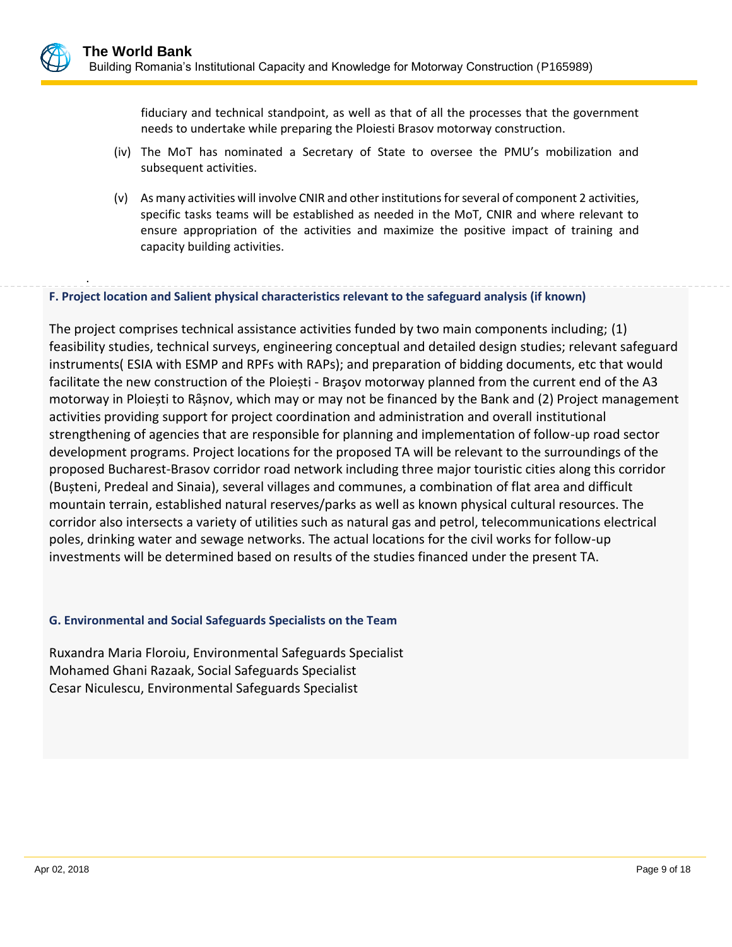fiduciary and technical standpoint, as well as that of all the processes that the government needs to undertake while preparing the Ploiesti Brasov motorway construction.

- (iv) The MoT has nominated a Secretary of State to oversee the PMU's mobilization and subsequent activities.
- (v) As many activities will involve CNIR and other institutions for several of component 2 activities, specific tasks teams will be established as needed in the MoT, CNIR and where relevant to ensure appropriation of the activities and maximize the positive impact of training and capacity building activities.

## **F. Project location and Salient physical characteristics relevant to the safeguard analysis (if known)**

The project comprises technical assistance activities funded by two main components including; (1) feasibility studies, technical surveys, engineering conceptual and detailed design studies; relevant safeguard instruments( ESIA with ESMP and RPFs with RAPs); and preparation of bidding documents, etc that would facilitate the new construction of the Ploiești - Braşov motorway planned from the current end of the A3 motorway in Ploiești to Rȃșnov, which may or may not be financed by the Bank and (2) Project management activities providing support for project coordination and administration and overall institutional strengthening of agencies that are responsible for planning and implementation of follow-up road sector development programs. Project locations for the proposed TA will be relevant to the surroundings of the proposed Bucharest-Brasov corridor road network including three major touristic cities along this corridor (Bușteni, Predeal and Sinaia), several villages and communes, a combination of flat area and difficult mountain terrain, established natural reserves/parks as well as known physical cultural resources. The corridor also intersects a variety of utilities such as natural gas and petrol, telecommunications electrical poles, drinking water and sewage networks. The actual locations for the civil works for follow-up investments will be determined based on results of the studies financed under the present TA.

#### **G. Environmental and Social Safeguards Specialists on the Team**

Ruxandra Maria Floroiu, Environmental Safeguards Specialist Mohamed Ghani Razaak, Social Safeguards Specialist Cesar Niculescu, Environmental Safeguards Specialist

.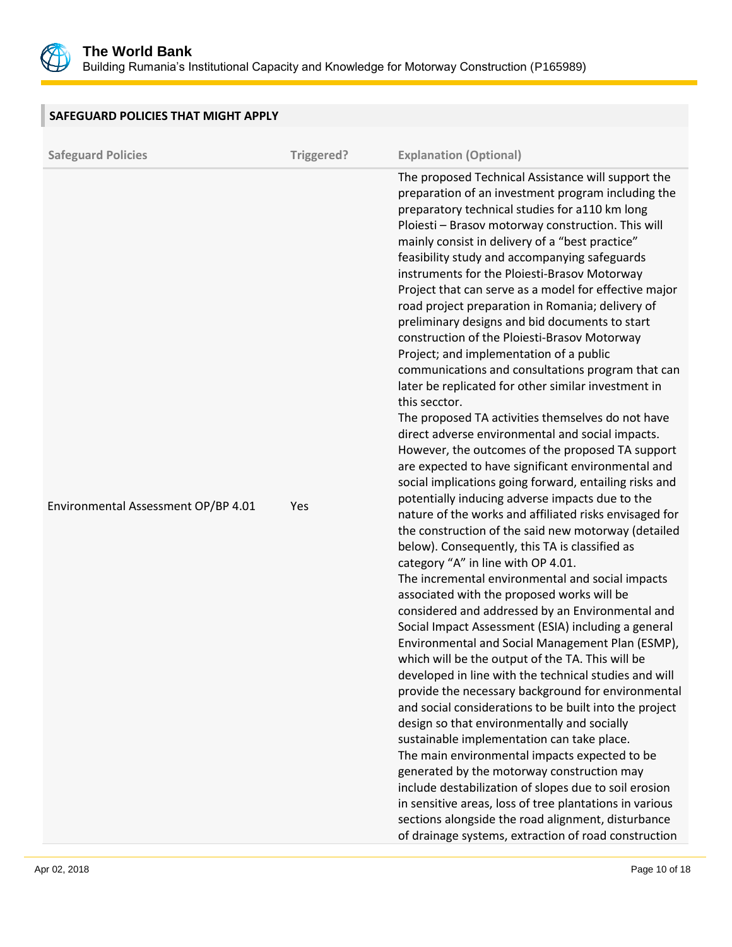

| SAFEGUARD POLICIES THAT MIGHT APPLY |            |                                                                                                                                                                                                                                                                                                                                                                                                                                                                                                                                                                                                                                                                                                                                                                                                                                                                                                                                                                                                                                                                                                                                                                                                                                                                                                                                                                                                                                                                                                                                                                                                                                                                                                                                                                                                                                                                                                                                                                                                                                                                                                                                                                                                                                  |
|-------------------------------------|------------|----------------------------------------------------------------------------------------------------------------------------------------------------------------------------------------------------------------------------------------------------------------------------------------------------------------------------------------------------------------------------------------------------------------------------------------------------------------------------------------------------------------------------------------------------------------------------------------------------------------------------------------------------------------------------------------------------------------------------------------------------------------------------------------------------------------------------------------------------------------------------------------------------------------------------------------------------------------------------------------------------------------------------------------------------------------------------------------------------------------------------------------------------------------------------------------------------------------------------------------------------------------------------------------------------------------------------------------------------------------------------------------------------------------------------------------------------------------------------------------------------------------------------------------------------------------------------------------------------------------------------------------------------------------------------------------------------------------------------------------------------------------------------------------------------------------------------------------------------------------------------------------------------------------------------------------------------------------------------------------------------------------------------------------------------------------------------------------------------------------------------------------------------------------------------------------------------------------------------------|
| <b>Safeguard Policies</b>           | Triggered? | <b>Explanation (Optional)</b>                                                                                                                                                                                                                                                                                                                                                                                                                                                                                                                                                                                                                                                                                                                                                                                                                                                                                                                                                                                                                                                                                                                                                                                                                                                                                                                                                                                                                                                                                                                                                                                                                                                                                                                                                                                                                                                                                                                                                                                                                                                                                                                                                                                                    |
| Environmental Assessment OP/BP 4.01 | Yes        | The proposed Technical Assistance will support the<br>preparation of an investment program including the<br>preparatory technical studies for a110 km long<br>Ploiesti - Brasov motorway construction. This will<br>mainly consist in delivery of a "best practice"<br>feasibility study and accompanying safeguards<br>instruments for the Ploiesti-Brasov Motorway<br>Project that can serve as a model for effective major<br>road project preparation in Romania; delivery of<br>preliminary designs and bid documents to start<br>construction of the Ploiesti-Brasov Motorway<br>Project; and implementation of a public<br>communications and consultations program that can<br>later be replicated for other similar investment in<br>this secctor.<br>The proposed TA activities themselves do not have<br>direct adverse environmental and social impacts.<br>However, the outcomes of the proposed TA support<br>are expected to have significant environmental and<br>social implications going forward, entailing risks and<br>potentially inducing adverse impacts due to the<br>nature of the works and affiliated risks envisaged for<br>the construction of the said new motorway (detailed<br>below). Consequently, this TA is classified as<br>category "A" in line with OP 4.01.<br>The incremental environmental and social impacts<br>associated with the proposed works will be<br>considered and addressed by an Environmental and<br>Social Impact Assessment (ESIA) including a general<br>Environmental and Social Management Plan (ESMP),<br>which will be the output of the TA. This will be<br>developed in line with the technical studies and will<br>provide the necessary background for environmental<br>and social considerations to be built into the project<br>design so that environmentally and socially<br>sustainable implementation can take place.<br>The main environmental impacts expected to be<br>generated by the motorway construction may<br>include destabilization of slopes due to soil erosion<br>in sensitive areas, loss of tree plantations in various<br>sections alongside the road alignment, disturbance<br>of drainage systems, extraction of road construction |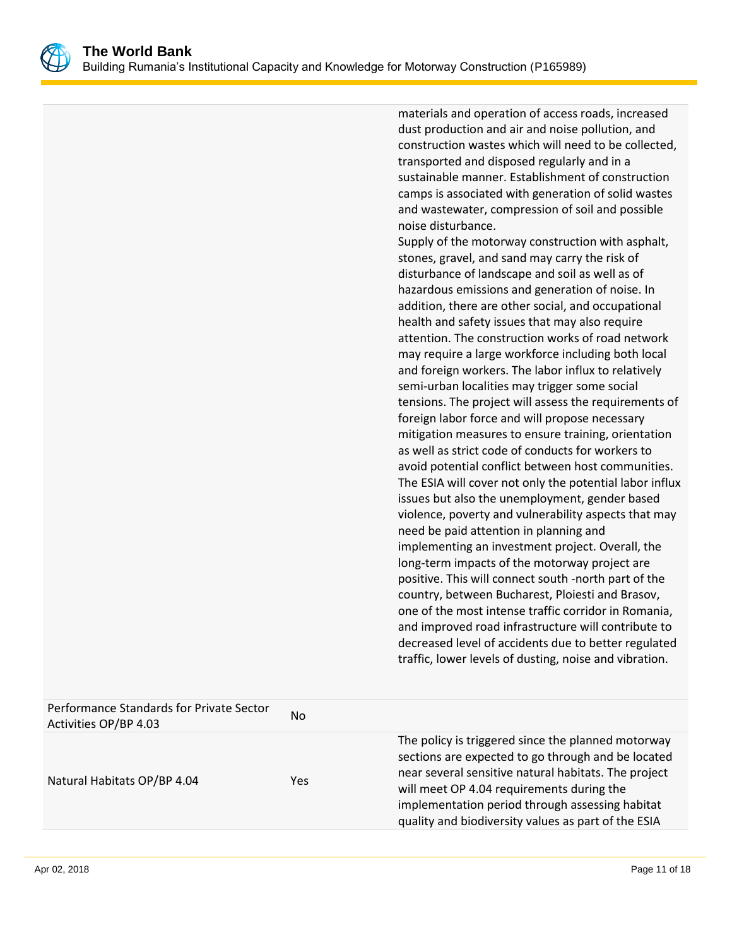

materials and operation of access roads, increased dust production and air and noise pollution, and construction wastes which will need to be collected, transported and disposed regularly and in a sustainable manner. Establishment of construction camps is associated with generation of solid wastes and wastewater, compression of soil and possible noise disturbance.

Supply of the motorway construction with asphalt, stones, gravel, and sand may carry the risk of disturbance of landscape and soil as well as of hazardous emissions and generation of noise. In addition, there are other social, and occupational health and safety issues that may also require attention. The construction works of road network may require a large workforce including both local and foreign workers. The labor influx to relatively semi-urban localities may trigger some social tensions. The project will assess the requirements of foreign labor force and will propose necessary mitigation measures to ensure training, orientation as well as strict code of conducts for workers to avoid potential conflict between host communities. The ESIA will cover not only the potential labor influx issues but also the unemployment, gender based violence, poverty and vulnerability aspects that may need be paid attention in planning and implementing an investment project. Overall, the long-term impacts of the motorway project are positive. This will connect south -north part of the country, between Bucharest, Ploiesti and Brasov, one of the most intense traffic corridor in Romania, and improved road infrastructure will contribute to decreased level of accidents due to better regulated traffic, lower levels of dusting, noise and vibration.

| Performance Standards for Private Sector<br>Activities OP/BP 4.03 | No. |                                                                                                                                                                                                                                                                                                                         |
|-------------------------------------------------------------------|-----|-------------------------------------------------------------------------------------------------------------------------------------------------------------------------------------------------------------------------------------------------------------------------------------------------------------------------|
| Natural Habitats OP/BP 4.04                                       | Yes | The policy is triggered since the planned motorway<br>sections are expected to go through and be located<br>near several sensitive natural habitats. The project<br>will meet OP 4.04 requirements during the<br>implementation period through assessing habitat<br>quality and biodiversity values as part of the ESIA |
|                                                                   |     |                                                                                                                                                                                                                                                                                                                         |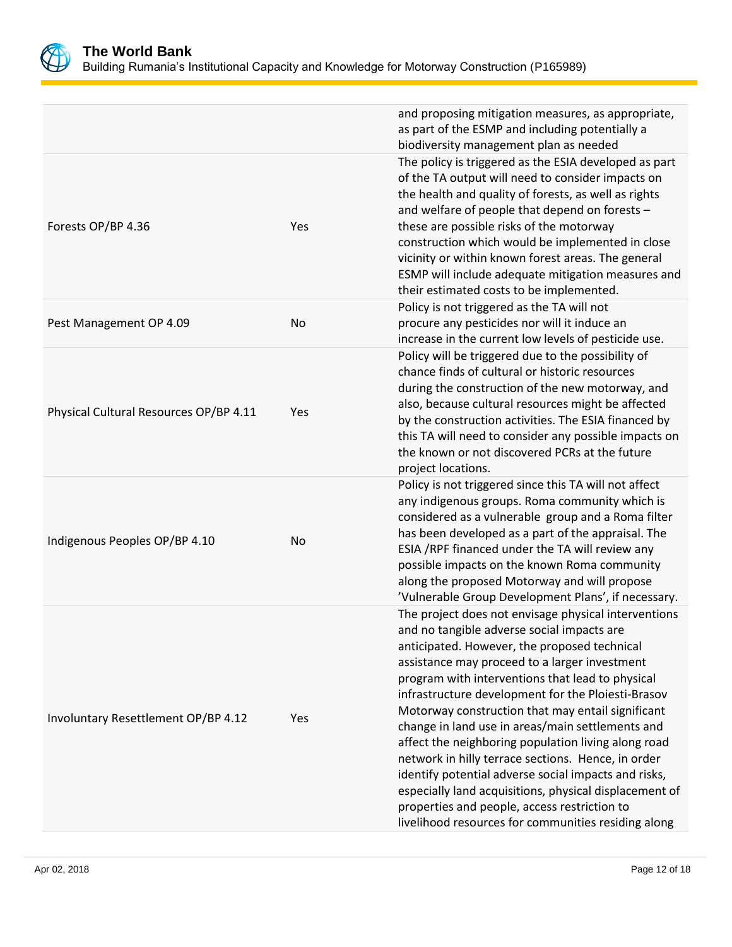

|                                        |     | and proposing mitigation measures, as appropriate,<br>as part of the ESMP and including potentially a<br>biodiversity management plan as needed                                                                                                                                                                                                                                                                                                                                                                                                                                                                                                                                                                                                              |
|----------------------------------------|-----|--------------------------------------------------------------------------------------------------------------------------------------------------------------------------------------------------------------------------------------------------------------------------------------------------------------------------------------------------------------------------------------------------------------------------------------------------------------------------------------------------------------------------------------------------------------------------------------------------------------------------------------------------------------------------------------------------------------------------------------------------------------|
| Forests OP/BP 4.36                     | Yes | The policy is triggered as the ESIA developed as part<br>of the TA output will need to consider impacts on<br>the health and quality of forests, as well as rights<br>and welfare of people that depend on forests -<br>these are possible risks of the motorway<br>construction which would be implemented in close<br>vicinity or within known forest areas. The general<br>ESMP will include adequate mitigation measures and<br>their estimated costs to be implemented.                                                                                                                                                                                                                                                                                 |
| Pest Management OP 4.09                | No  | Policy is not triggered as the TA will not<br>procure any pesticides nor will it induce an<br>increase in the current low levels of pesticide use.                                                                                                                                                                                                                                                                                                                                                                                                                                                                                                                                                                                                           |
| Physical Cultural Resources OP/BP 4.11 | Yes | Policy will be triggered due to the possibility of<br>chance finds of cultural or historic resources<br>during the construction of the new motorway, and<br>also, because cultural resources might be affected<br>by the construction activities. The ESIA financed by<br>this TA will need to consider any possible impacts on<br>the known or not discovered PCRs at the future<br>project locations.                                                                                                                                                                                                                                                                                                                                                      |
| Indigenous Peoples OP/BP 4.10          | No  | Policy is not triggered since this TA will not affect<br>any indigenous groups. Roma community which is<br>considered as a vulnerable group and a Roma filter<br>has been developed as a part of the appraisal. The<br>ESIA /RPF financed under the TA will review any<br>possible impacts on the known Roma community<br>along the proposed Motorway and will propose<br>'Vulnerable Group Development Plans', if necessary.                                                                                                                                                                                                                                                                                                                                |
| Involuntary Resettlement OP/BP 4.12    | Yes | The project does not envisage physical interventions<br>and no tangible adverse social impacts are<br>anticipated. However, the proposed technical<br>assistance may proceed to a larger investment<br>program with interventions that lead to physical<br>infrastructure development for the Ploiesti-Brasov<br>Motorway construction that may entail significant<br>change in land use in areas/main settlements and<br>affect the neighboring population living along road<br>network in hilly terrace sections. Hence, in order<br>identify potential adverse social impacts and risks,<br>especially land acquisitions, physical displacement of<br>properties and people, access restriction to<br>livelihood resources for communities residing along |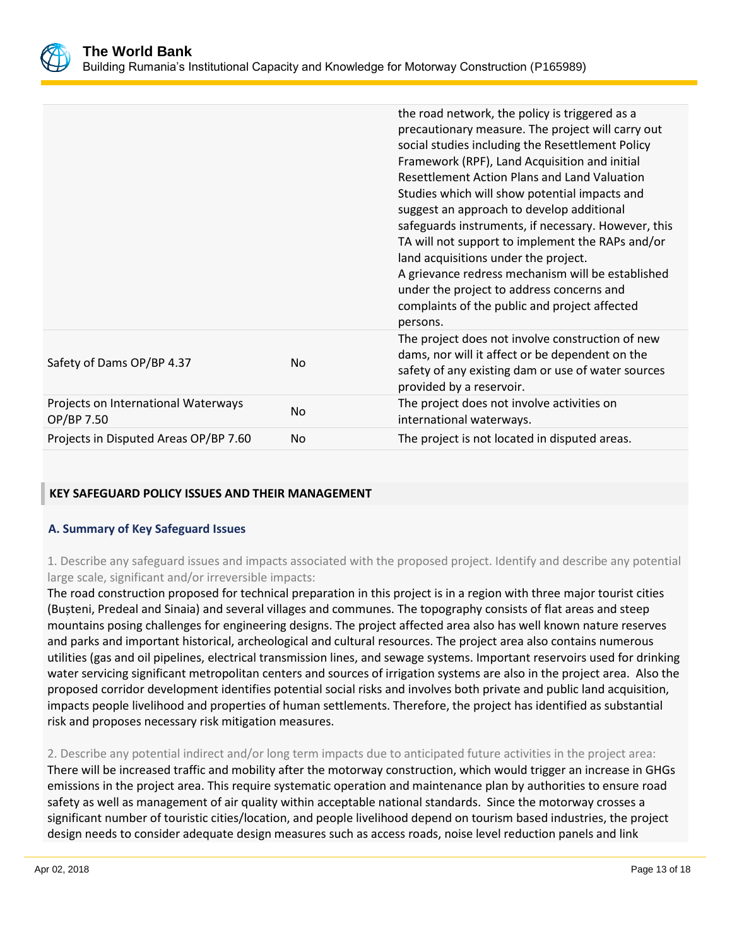

|                                                   |                | the road network, the policy is triggered as a<br>precautionary measure. The project will carry out<br>social studies including the Resettlement Policy<br>Framework (RPF), Land Acquisition and initial<br>Resettlement Action Plans and Land Valuation<br>Studies which will show potential impacts and<br>suggest an approach to develop additional<br>safeguards instruments, if necessary. However, this<br>TA will not support to implement the RAPs and/or<br>land acquisitions under the project.<br>A grievance redress mechanism will be established<br>under the project to address concerns and<br>complaints of the public and project affected<br>persons. |
|---------------------------------------------------|----------------|--------------------------------------------------------------------------------------------------------------------------------------------------------------------------------------------------------------------------------------------------------------------------------------------------------------------------------------------------------------------------------------------------------------------------------------------------------------------------------------------------------------------------------------------------------------------------------------------------------------------------------------------------------------------------|
| Safety of Dams OP/BP 4.37                         | N <sub>o</sub> | The project does not involve construction of new<br>dams, nor will it affect or be dependent on the<br>safety of any existing dam or use of water sources<br>provided by a reservoir.                                                                                                                                                                                                                                                                                                                                                                                                                                                                                    |
| Projects on International Waterways<br>OP/BP 7.50 | <b>No</b>      | The project does not involve activities on<br>international waterways.                                                                                                                                                                                                                                                                                                                                                                                                                                                                                                                                                                                                   |
| Projects in Disputed Areas OP/BP 7.60             | No             | The project is not located in disputed areas.                                                                                                                                                                                                                                                                                                                                                                                                                                                                                                                                                                                                                            |

## **KEY SAFEGUARD POLICY ISSUES AND THEIR MANAGEMENT**

## **A. Summary of Key Safeguard Issues**

1. Describe any safeguard issues and impacts associated with the proposed project. Identify and describe any potential large scale, significant and/or irreversible impacts:

The road construction proposed for technical preparation in this project is in a region with three major tourist cities (Bușteni, Predeal and Sinaia) and several villages and communes. The topography consists of flat areas and steep mountains posing challenges for engineering designs. The project affected area also has well known nature reserves and parks and important historical, archeological and cultural resources. The project area also contains numerous utilities (gas and oil pipelines, electrical transmission lines, and sewage systems. Important reservoirs used for drinking water servicing significant metropolitan centers and sources of irrigation systems are also in the project area. Also the proposed corridor development identifies potential social risks and involves both private and public land acquisition, impacts people livelihood and properties of human settlements. Therefore, the project has identified as substantial risk and proposes necessary risk mitigation measures.

2. Describe any potential indirect and/or long term impacts due to anticipated future activities in the project area: There will be increased traffic and mobility after the motorway construction, which would trigger an increase in GHGs emissions in the project area. This require systematic operation and maintenance plan by authorities to ensure road safety as well as management of air quality within acceptable national standards. Since the motorway crosses a significant number of touristic cities/location, and people livelihood depend on tourism based industries, the project design needs to consider adequate design measures such as access roads, noise level reduction panels and link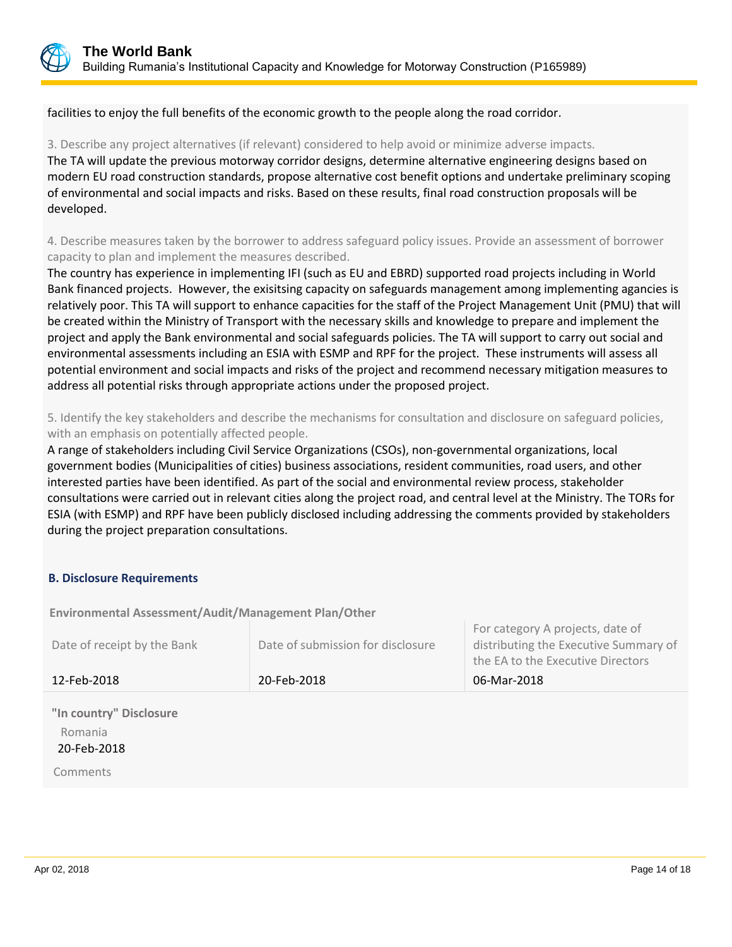

facilities to enjoy the full benefits of the economic growth to the people along the road corridor.

3. Describe any project alternatives (if relevant) considered to help avoid or minimize adverse impacts. The TA will update the previous motorway corridor designs, determine alternative engineering designs based on modern EU road construction standards, propose alternative cost benefit options and undertake preliminary scoping of environmental and social impacts and risks. Based on these results, final road construction proposals will be developed.

4. Describe measures taken by the borrower to address safeguard policy issues. Provide an assessment of borrower capacity to plan and implement the measures described.

The country has experience in implementing IFI (such as EU and EBRD) supported road projects including in World Bank financed projects. However, the exisitsing capacity on safeguards management among implementing agancies is relatively poor. This TA will support to enhance capacities for the staff of the Project Management Unit (PMU) that will be created within the Ministry of Transport with the necessary skills and knowledge to prepare and implement the project and apply the Bank environmental and social safeguards policies. The TA will support to carry out social and environmental assessments including an ESIA with ESMP and RPF for the project. These instruments will assess all potential environment and social impacts and risks of the project and recommend necessary mitigation measures to address all potential risks through appropriate actions under the proposed project.

5. Identify the key stakeholders and describe the mechanisms for consultation and disclosure on safeguard policies, with an emphasis on potentially affected people.

A range of stakeholders including Civil Service Organizations (CSOs), non-governmental organizations, local government bodies (Municipalities of cities) business associations, resident communities, road users, and other interested parties have been identified. As part of the social and environmental review process, stakeholder consultations were carried out in relevant cities along the project road, and central level at the Ministry. The TORs for ESIA (with ESMP) and RPF have been publicly disclosed including addressing the comments provided by stakeholders during the project preparation consultations.

## **B. Disclosure Requirements**

**Environmental Assessment/Audit/Management Plan/Other** 

| Date of receipt by the Bank | Date of submission for disclosure | For category A projects, date of<br>distributing the Executive Summary of<br>the EA to the Executive Directors |
|-----------------------------|-----------------------------------|----------------------------------------------------------------------------------------------------------------|
| 12-Feb-2018                 | 20-Feb-2018                       | 06-Mar-2018                                                                                                    |
| "In country" Disclosure     |                                   |                                                                                                                |

Romania

20-Feb-2018

Comments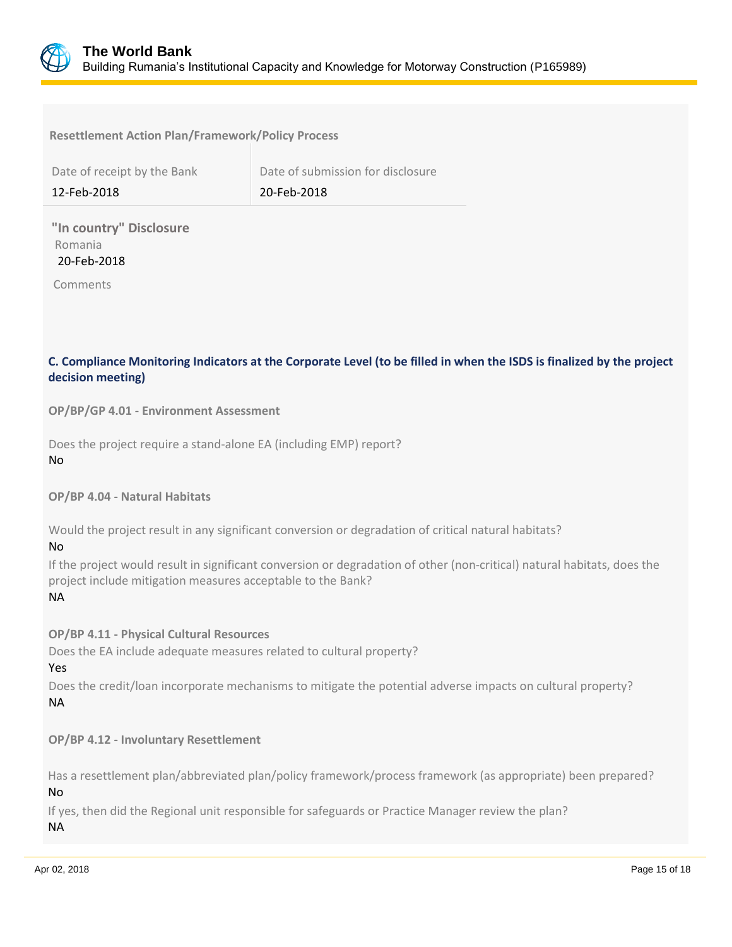

#### **Resettlement Action Plan/Framework/Policy Process**

| Date of receipt by the Bank | Date of submission for disclosure |
|-----------------------------|-----------------------------------|
| 12-Feb-2018                 | 20-Feb-2018                       |

**"In country" Disclosure** Romania 20-Feb-2018

Comments

## **C. Compliance Monitoring Indicators at the Corporate Level (to be filled in when the ISDS is finalized by the project decision meeting)**

**OP/BP/GP 4.01 - Environment Assessment** 

Does the project require a stand-alone EA (including EMP) report? No

**OP/BP 4.04 - Natural Habitats**

Would the project result in any significant conversion or degradation of critical natural habitats?

No

If the project would result in significant conversion or degradation of other (non-critical) natural habitats, does the project include mitigation measures acceptable to the Bank?

NA

**OP/BP 4.11 - Physical Cultural Resources**

Does the EA include adequate measures related to cultural property?

Yes

Does the credit/loan incorporate mechanisms to mitigate the potential adverse impacts on cultural property? NA

**OP/BP 4.12 - Involuntary Resettlement**

Has a resettlement plan/abbreviated plan/policy framework/process framework (as appropriate) been prepared? No

If yes, then did the Regional unit responsible for safeguards or Practice Manager review the plan? NA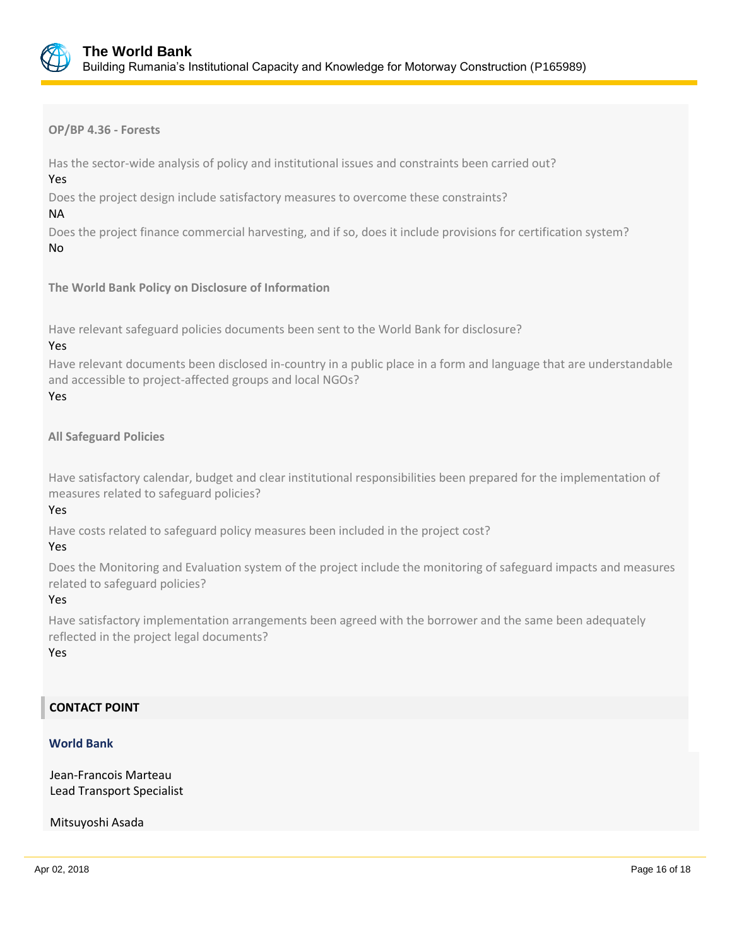

**OP/BP 4.36 - Forests**

Has the sector-wide analysis of policy and institutional issues and constraints been carried out?

Yes

Does the project design include satisfactory measures to overcome these constraints?

NA

Does the project finance commercial harvesting, and if so, does it include provisions for certification system? No

**The World Bank Policy on Disclosure of Information**

Have relevant safeguard policies documents been sent to the World Bank for disclosure?

## Yes

Have relevant documents been disclosed in-country in a public place in a form and language that are understandable and accessible to project-affected groups and local NGOs?

## Yes

## **All Safeguard Policies**

Have satisfactory calendar, budget and clear institutional responsibilities been prepared for the implementation of measures related to safeguard policies?

## Yes

Have costs related to safeguard policy measures been included in the project cost?

## Yes

Does the Monitoring and Evaluation system of the project include the monitoring of safeguard impacts and measures related to safeguard policies?

## Yes

Have satisfactory implementation arrangements been agreed with the borrower and the same been adequately reflected in the project legal documents?

#### Yes

## **CONTACT POINT**

## **World Bank**

Jean-Francois Marteau Lead Transport Specialist

Mitsuyoshi Asada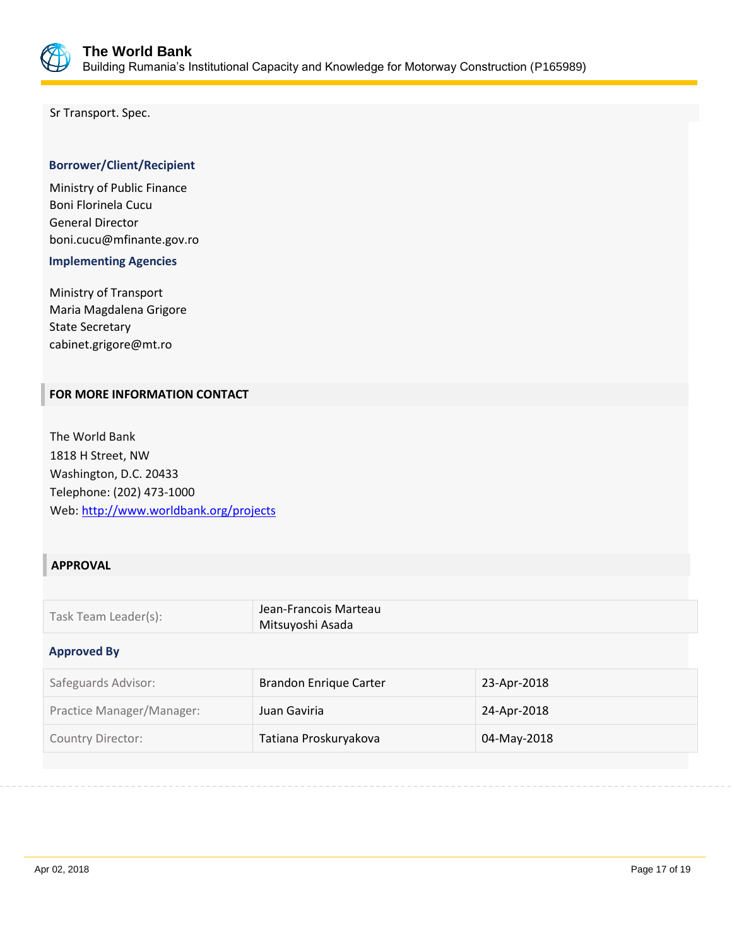

Sr Transport. Spec.

## **Borrower/Client/Recipient**

Ministry of Public Finance Boni Florinela Cucu General Director boni.cucu@mfinante.gov.ro

 **Implementing Agencies**

Ministry of Transport Maria Magdalena Grigore State Secretary cabinet.grigore@mt.ro

## **FOR MORE INFORMATION CONTACT**

The World Bank 1818 H Street, NW Washington, D.C. 20433 Telephone: (202) 473-1000 Web:<http://www.worldbank.org/projects>

## **APPROVAL**

| Task Team Leader(s): | Jean-Francois Marteau<br>Mitsuyoshi Asada |
|----------------------|-------------------------------------------|
|                      |                                           |

#### **Approved By**

| Safeguards Advisor:       | <b>Brandon Enrique Carter</b> | 23-Apr-2018 |
|---------------------------|-------------------------------|-------------|
| Practice Manager/Manager: | Juan Gaviria                  | 24-Apr-2018 |
| <b>Country Director:</b>  | Tatiana Proskuryakova         | 04-May-2018 |